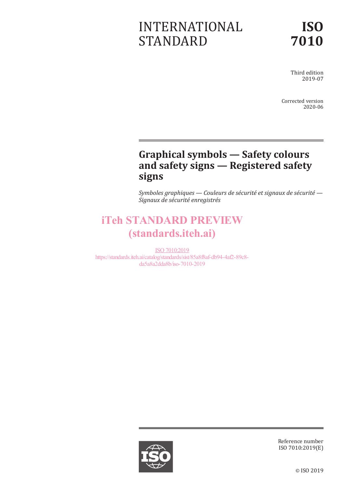# INTERNATIONAL STANDARD

Third edition 2019-07

Corrected version 2020-06

# **Graphical symbols — Safety colours and safety signs — Registered safety signs**

*Symboles graphiques — Couleurs de sécurité et signaux de sécurité — Signaux de sécurité enregistrés*

# iTeh STANDARD PREVIEW (standards.iteh.ai)

ISO 7010:2019 https://standards.iteh.ai/catalog/standards/sist/85a8f8af-db94-4af2-89c8 da5a8a2dda8b/iso-7010-2019



Reference number ISO 7010:2019(E)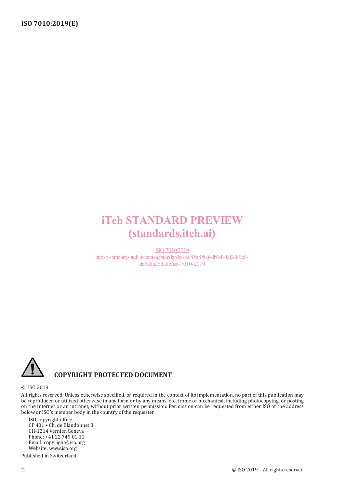# iTeh STANDARD PREVIEW (standards.iteh.ai)

ISO 7010:2019 https://standards.iteh.ai/catalog/standards/sist/85a8f8af-db94-4af2-89c8 da5a8a2dda8b/iso-7010-2019



## **COPYRIGHT PROTECTED DOCUMENT**

#### © ISO 2019

All rights reserved. Unless otherwise specified, or required in the context of its implementation, no part of this publication may be reproduced or utilized otherwise in any form or by any means, electronic or mechanical, including photocopying, or posting on the internet or an intranet, without prior written permission. Permission can be requested from either ISO at the address below or ISO's member body in the country of the requester.

ISO copyright office CP 401 • Ch. de Blandonnet 8 CH-1214 Vernier, Geneva Phone: +41 22 749 01 11 Email: copyright@iso.org Website: www.iso.org Published in Switzerland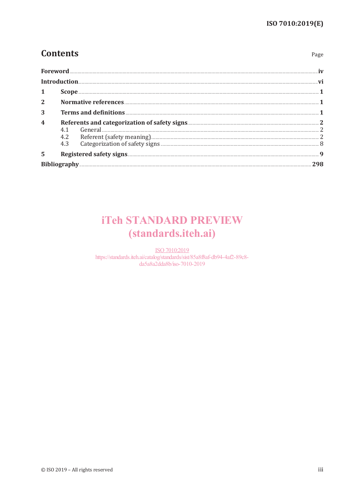Page

# **Contents**

| Foreword                |  |
|-------------------------|--|
| Introduction.           |  |
| 1                       |  |
| $\overline{2}$          |  |
| 3                       |  |
| $\overline{\mathbf{4}}$ |  |
| 5                       |  |
|                         |  |

# **iTeh STANDARD PREVIEW** (standards.iteh.ai)

ISO 7010:2019 https://standards.iteh.ai/catalog/standards/sist/85a8f8af-db94-4af2-89c8da5a8a2dda8b/iso-7010-2019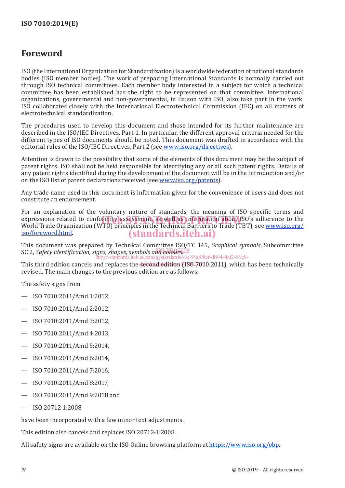# **Foreword**

ISO (the International Organization for Standardization) is a worldwide federation of national standards bodies (ISO member bodies). The work of preparing International Standards is normally carried out through ISO technical committees. Each member body interested in a subject for which a technical committee has been established has the right to be represented on that committee. International organizations, governmental and non-governmental, in liaison with ISO, also take part in the work. ISO collaborates closely with the International Electrotechnical Commission (IEC) on all matters of electrotechnical standardization.

The procedures used to develop this document and those intended for its further maintenance are described in the ISO/IEC Directives, Part 1. In particular, the different approval criteria needed for the different types of ISO documents should be noted. This document was drafted in accordance with the editorial rules of the ISO/IEC Directives, Part 2 (see www.iso.org/directives).

Attention is drawn to the possibility that some of the elements of this document may be the subject of patent rights. ISO shall not be held responsible for identifying any or all such patent rights. Details of any patent rights identified during the development of the document will be in the Introduction and/or on the ISO list of patent declarations received (see www.iso.org/patents).

Any trade name used in this document is information given for the convenience of users and does not constitute an endorsement.

For an explanation of the voluntary nature of standards, the meaning of ISO specific terms and expressions related to conformity assessment, as well as information about ISO's adherence to the<br>World Trade Organization (WTO) principles in the Technical Barriers to Trade (TBT), see www.iso.org/ World Trade Organization (WTO) principles in the Technical Barriers to Trade (TBT), see www.iso.org/ iso/foreword.html. (standards.iteh.ai)

This document was prepared by Technical Committee ISO/TC 145, *Graphical symbols*, Subcommittee International control of properties by community completely (1990)<sup>9</sup> https://standards.iteh.ai/catalog/standards/sist/85a8f8af-db94-4af2-89c8-

This third edition cancels and replaces the second edition (ISO  $\overline{2010}$  2011), which has been technically revised. The main changes to the previous edition are as follows:

The safety signs from

- ISO 7010:2011/Amd 1:2012,
- ISO 7010:2011/Amd 2:2012,
- ISO 7010:2011/Amd 3:2012,
- ISO 7010:2011/Amd 4:2013,
- ISO 7010:2011/Amd 5:2014,
- ISO 7010:2011/Amd 6:2014,
- ISO 7010:2011/Amd 7:2016,
- ISO 7010:2011/Amd 8:2017,
- ISO 7010:2011/Amd 9:2018 and
- ISO 20712-1:2008

have been incorporated with a few minor text adjustments.

This edition also cancels and replaces ISO 20712-1:2008.

All safety signs are available on the ISO Online browsing platform at https://www.iso.org/obp.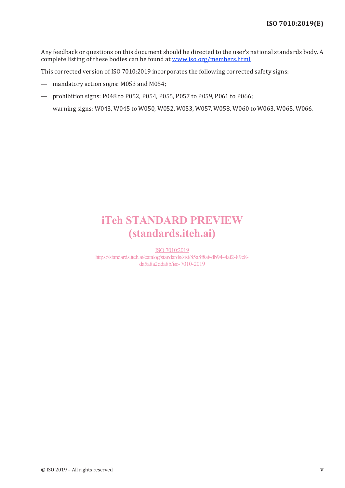Any feedback or questions on this document should be directed to the user's national standards body. A complete listing of these bodies can be found at www.iso.org/members.html.

This corrected version of ISO 7010:2019 incorporates the following corrected safety signs:

- mandatory action signs: M053 and M054;
- prohibition signs: P048 to P052, P054, P055, P057 to P059, P061 to P066;
- warning signs: W043, W045 to W050, W052, W053, W057, W058, W060 to W063, W065, W066.

# iTeh STANDARD PREVIEW (standards.iteh.ai)

ISO 7010:2019 https://standards.iteh.ai/catalog/standards/sist/85a8f8af-db94-4af2-89c8 da5a8a2dda8b/iso-7010-2019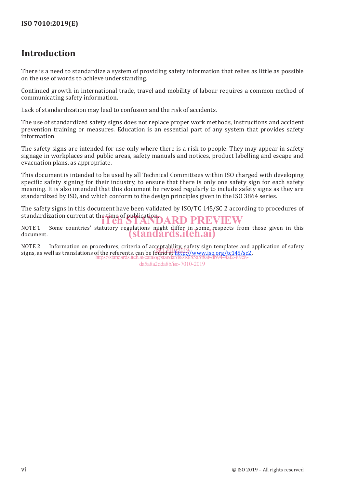# **Introduction**

There is a need to standardize a system of providing safety information that relies as little as possible on the use of words to achieve understanding.

Continued growth in international trade, travel and mobility of labour requires a common method of communicating safety information.

Lack of standardization may lead to confusion and the risk of accidents.

The use of standardized safety signs does not replace proper work methods, instructions and accident prevention training or measures. Education is an essential part of any system that provides safety information.

The safety signs are intended for use only where there is a risk to people. They may appear in safety signage in workplaces and public areas, safety manuals and notices, product labelling and escape and evacuation plans, as appropriate.

This document is intended to be used by all Technical Committees within ISO charged with developing specific safety signing for their industry, to ensure that there is only one safety sign for each safety meaning. It is also intended that this document be revised regularly to include safety signs as they are standardized by ISO, and which conform to the design principles given in the ISO 3864 series.

The safety signs in this document have been validated by ISO/TC 145/SC 2 according to procedures of standardization current at the time of publication.<br>**ITEH STANDARD PREVIEW** 

NOTE 1 Some countries' statutory regulations might differ in some respects from those given in this document. document.

NOTE 2 Information on procedures, criteria of acceptability, safety sign templates and application of safety signs, as well as translations of the referents, can be found at http://www.iso.org/tc145/sc2. https://standards.iteh.ai/catalog/standards/sist/85a8f8af-db94-4af2-89c8-

da5a8a2dda8b/iso-7010-2019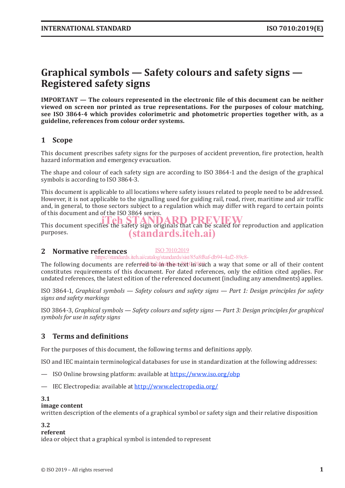# **Graphical symbols — Safety colours and safety signs — Registered safety signs**

**IMPORTANT — The colours represented in the electronic file of this document can be neither viewed on screen nor printed as true representations. For the purposes of colour matching, see ISO 3864-4 which provides colorimetric and photometric properties together with, as a guideline, references from colour order systems.**

## **1 Scope**

This document prescribes safety signs for the purposes of accident prevention, fire protection, health hazard information and emergency evacuation.

The shape and colour of each safety sign are according to ISO 3864-1 and the design of the graphical symbols is according to ISO 3864-3.

This document is applicable to all locations where safety issues related to people need to be addressed. However, it is not applicable to the signalling used for guiding rail, road, river, maritime and air traffic and, in general, to those sectors subject to a regulation which may differ with regard to certain points of this document and of the ISO 3864 series.

This document specifies the safety sign originals that can be scaled for reproduction and application This document specifies the safety sign originals that can be scaled for reproduction and application purposes. (standards.iteh.ai)

#### **2 Normative references** ISO 7010:2019

https://standards.iteh.ai/catalog/standards/sist/85a8f8af-db94-4af2-89c8-

The following documents are referred to in the text in such a way that some or all of their content constitutes requirements of this document. For dated references, only the edition cited applies. For undated references, the latest edition of the referenced document (including any amendments) applies.

ISO 3864-1, *Graphical symbols — Safety colours and safety signs — Part 1: Design principles for safety signs and safety markings*

ISO 3864-3, *Graphical symbols — Safety colours and safety signs — Part 3: Design principles for graphical symbols for use in safety signs*

## **3 Terms and definitions**

For the purposes of this document, the following terms and definitions apply.

ISO and IEC maintain terminological databases for use in standardization at the following addresses:

- ISO Online browsing platform: available at https://www.iso.org/obp
- IEC Electropedia: available at http://www.electropedia.org/

#### **3.1**

#### **image content**

written description of the elements of a graphical symbol or safety sign and their relative disposition

#### **3.2**

#### **referent**

idea or object that a graphical symbol is intended to represent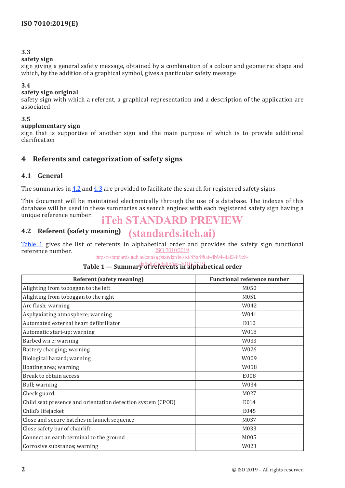### **3.3**

#### **safety sign**

sign giving a general safety message, obtained by a combination of a colour and geometric shape and which, by the addition of a graphical symbol, gives a particular safety message

#### **3.4**

#### **safety sign original**

safety sign with which a referent, a graphical representation and a description of the application are associated

#### **3.5**

#### **supplementary sign**

sign that is supportive of another sign and the main purpose of which is to provide additional clarification

### **4 Referents and categorization of safety signs**

#### **4.1 General**

The summaries in 4.2 and 4.3 are provided to facilitate the search for registered safety signs.

This document will be maintained electronically through the use of a database. The indexes of this database will be used in these summaries as search engines with each registered safety sign having a unique reference number.

# iTeh STANDARD PREVIEW

#### **4.2 Referent (safety meaning)** (standards.iteh.ai)

Table 1 gives the list of referents in alphabetical order and provides the safety sign functional reference number. ISO 7010:2019

https://standards.iteh.ai/catalog/standards/sist/85a8f8af-db94-4af2-89c8-

## **Table 1 — Summary of referents in alphabetical order**

| <b>Referent (safety meaning)</b>                            | <b>Functional reference number</b> |
|-------------------------------------------------------------|------------------------------------|
| Alighting from toboggan to the left                         | M050                               |
| Alighting from toboggan to the right                        | M051                               |
| Arc flash; warning                                          | W042                               |
| Asphyxiating atmosphere; warning                            | W041                               |
| Automated external heart defibrillator                      | E010                               |
| Automatic start-up; warning                                 | W018                               |
| Barbed wire; warning                                        | W033                               |
| Battery charging; warning                                   | W026                               |
| Biological hazard; warning                                  | W009                               |
| Boating area; warning                                       | W058                               |
| Break to obtain access                                      | E008                               |
| Bull; warning                                               | W034                               |
| Check guard                                                 | M027                               |
| Child seat presence and orientation detection system (CPOD) | E014                               |
| Child's lifejacket                                          | E045                               |
| Close and secure hatches in launch sequence                 | M037                               |
| Close safety bar of chairlift                               | M033                               |
| Connect an earth terminal to the ground                     | M005                               |
| Corrosive substance; warning                                | W023                               |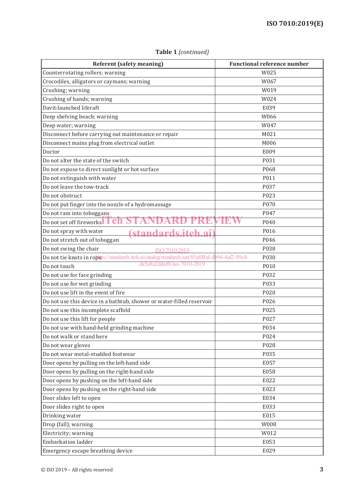| <b>Referent (safety meaning)</b>                                                               | <b>Functional reference number</b> |
|------------------------------------------------------------------------------------------------|------------------------------------|
| Counterrotating rollers; warning                                                               | W025                               |
| Crocodiles, alligators or caymans; warning                                                     | W067                               |
| Crushing; warning                                                                              | W019                               |
| Crushing of hands; warning                                                                     | W024                               |
| Davit-launched liferaft                                                                        | E039                               |
| Deep shelving beach; warning                                                                   | W066                               |
| Deep water; warning                                                                            | W047                               |
| Disconnect before carrying out maintenance or repair                                           | M021                               |
| Disconnect mains plug from electrical outlet                                                   | M006                               |
| Doctor                                                                                         | E009                               |
| Do not alter the state of the switch                                                           | P031                               |
| Do not expose to direct sunlight or hot surface                                                | P068                               |
| Do not extinguish with water                                                                   | P011                               |
| Do not leave the tow-track                                                                     | P037                               |
| Do not obstruct                                                                                | P023                               |
| Do not put finger into the nozzle of a hydromassage                                            | P070                               |
| Do not ram into toboggans                                                                      | P047                               |
| Do not set off fireworks Feh                                                                   | P040                               |
| Do not spray with water<br>standards itch ai                                                   | P016                               |
| Do not stretch out of toboggan                                                                 | P046                               |
| Do not swing the chair<br>ISO 7010:2019                                                        | P038                               |
| Do not tie knots in robeps://standards.iteh.ai/catalog/standards/sist/85a8f8af-db94-4af2-89c8- | P030                               |
| da5a8a2dda8b/iso-7010-2019<br>Do not touch                                                     | P010                               |
| Do not use for face grinding                                                                   | P032                               |
| Do not use for wet grinding                                                                    | P033                               |
| Do not use lift in the event of fire                                                           | P020                               |
| Do not use this device in a bathtub, shower or water-filled reservoir                          | P026                               |
| Do not use this incomplete scaffold                                                            | P025                               |
| Do not use this lift for people                                                                | P027                               |
| Do not use with hand-held grinding machine                                                     | P034                               |
| Do not walk or stand here                                                                      | P024                               |
| Do not wear gloves                                                                             | P028                               |
| Do not wear metal-studded footwear                                                             | P035                               |
| Door opens by pulling on the left-hand side                                                    | E057                               |
| Door opens by pulling on the right-hand side                                                   | E058                               |
| Door opens by pushing on the left-hand side                                                    | E022                               |
| Door opens by pushing on the right-hand side                                                   | E023                               |
| Door slides left to open                                                                       | E034                               |
| Door slides right to open                                                                      | E033                               |
| Drinking water                                                                                 | E015                               |
| Drop (fall); warning                                                                           | W008                               |
| Electricity; warning                                                                           | W012                               |
| Embarkation ladder                                                                             | E053                               |
| Emergency escape breathing device                                                              | E029                               |

**Table 1** *(continued)*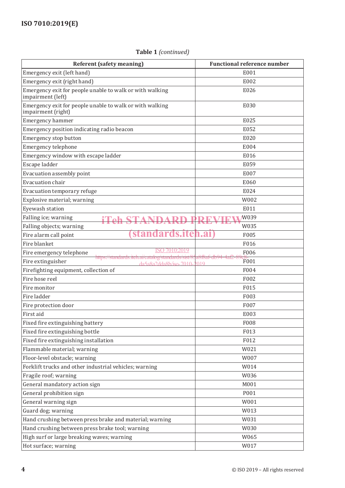## **Table 1** *(continued)*

| <b>Referent (safety meaning)</b>                                                                            | <b>Functional reference number</b> |
|-------------------------------------------------------------------------------------------------------------|------------------------------------|
| Emergency exit (left hand)                                                                                  | E001                               |
| Emergency exit (right hand)                                                                                 | E002                               |
| Emergency exit for people unable to walk or with walking<br>impairment (left)                               | E026                               |
| Emergency exit for people unable to walk or with walking<br>impairment (right)                              | E030                               |
| Emergency hammer                                                                                            | E025                               |
| Emergency position indicating radio beacon                                                                  | E052                               |
| Emergency stop button                                                                                       | E020                               |
| Emergency telephone                                                                                         | E004                               |
| Emergency window with escape ladder                                                                         | E016                               |
| Escape ladder                                                                                               | E059                               |
| Evacuation assembly point                                                                                   | E007                               |
| Evacuation chair                                                                                            | E060                               |
| Evacuation temporary refuge                                                                                 | E024                               |
| Explosive material; warning                                                                                 | W002                               |
| Eyewash station                                                                                             | E011                               |
| Falling ice; warning                                                                                        | W039                               |
| Falling objects; warning                                                                                    | W035                               |
| standards.iteh.ai<br>Fire alarm call point                                                                  | F005                               |
| Fire blanket                                                                                                | F016                               |
| 0:2019<br>Fire emergency telephone                                                                          | F006                               |
| <u>https://standards.itch.ai/catalog/standards/sist/83</u><br>Fire extinguisher<br>$da5a8a2dda8b/iso-7010-$ | F001<br>1019                       |
| Firefighting equipment, collection of                                                                       | F004                               |
| Fire hose reel                                                                                              | F002                               |
| Fire monitor                                                                                                | F015                               |
| Fire ladder                                                                                                 | F003                               |
| Fire protection door                                                                                        | F007                               |
| First aid                                                                                                   | E003                               |
| Fixed fire extinguishing battery                                                                            | F008                               |
| Fixed fire extinguishing bottle                                                                             | F013                               |
| Fixed fire extinguishing installation                                                                       | F012                               |
| Flammable material; warning                                                                                 | W021                               |
| Floor-level obstacle; warning                                                                               | W007                               |
| Forklift trucks and other industrial vehicles; warning                                                      | W014                               |
| Fragile roof; warning                                                                                       | W036                               |
| General mandatory action sign                                                                               | M001                               |
| General prohibition sign                                                                                    | P001                               |
| General warning sign                                                                                        | W001                               |
| Guard dog; warning                                                                                          | W013                               |
| Hand crushing between press brake and material; warning                                                     | W031                               |
| Hand crushing between press brake tool; warning                                                             | W030                               |
| High surf or large breaking waves; warning                                                                  | W065                               |
| Hot surface; warning                                                                                        | W017                               |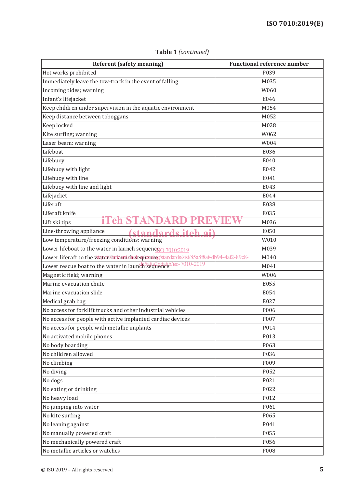| <b>Referent (safety meaning)</b>                                                         | <b>Functional reference number</b> |
|------------------------------------------------------------------------------------------|------------------------------------|
| Hot works prohibited                                                                     | P039                               |
| Immediately leave the tow-track in the event of falling                                  | M035                               |
| Incoming tides; warning                                                                  | W060                               |
| Infant's lifejacket                                                                      | E046                               |
| Keep children under supervision in the aquatic environment                               | M054                               |
| Keep distance between toboggans                                                          | M052                               |
| Keep locked                                                                              | M028                               |
| Kite surfing; warning                                                                    | W062                               |
| Laser beam; warning                                                                      | W004                               |
| Lifeboat                                                                                 | E036                               |
| Lifebuoy                                                                                 | E040                               |
| Lifebuoy with light                                                                      | E042                               |
| Lifebuoy with line                                                                       | E041                               |
| Lifebuoy with line and light                                                             | E043                               |
| Lifejacket                                                                               | E044                               |
| Liferaft                                                                                 | E038                               |
| Liferaft knife                                                                           | E035                               |
| en<br>Lift ski tips                                                                      | M036                               |
| Line-throwing appliance<br>standards itch ai                                             | E050                               |
| Low temperature/freezing conditions; warning                                             | W010                               |
| Lower lifeboat to the water in launch sequenqe 0 7010:2019                               | M039                               |
| Lower liferaft to the water indianches equence / standards/sist/85a8f8af-dp94-4af2-89c8- | M040                               |
| Lower rescue boat to the water in launch sequence /so-7010-2019                          | M041                               |
| Magnetic field; warning                                                                  | W006                               |
| Marine evacuation chute                                                                  | E055                               |
| Marine evacuation slide                                                                  | E054                               |
| Medical grab bag                                                                         | E027                               |
| No access for forklift trucks and other industrial vehicles                              | P006                               |
| No access for people with active implanted cardiac devices                               | P007                               |
| No access for people with metallic implants                                              | P014                               |
| No activated mobile phones                                                               | P013                               |
| No body boarding                                                                         | P063                               |
| No children allowed                                                                      | P036                               |
| No climbing                                                                              | P009                               |
| No diving                                                                                | P052                               |
| No dogs                                                                                  | P021                               |
| No eating or drinking                                                                    | P022                               |
| No heavy load                                                                            | P012                               |
| No jumping into water                                                                    | P061                               |
| No kite surfing                                                                          | P065                               |
| No leaning against                                                                       | P041                               |
| No manually powered craft                                                                | P055                               |
| No mechanically powered craft                                                            | P056                               |
| No metallic articles or watches                                                          | P008                               |

**Table 1** *(continued)*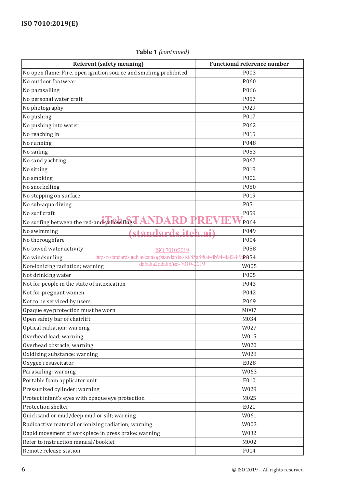## **Referent (safety meaning)** Functional reference number No open flame; Fire, open ignition source and smoking prohibited P003 No outdoor footwear and positive policy and positive policy and policy policy points are positive points and points  $P060$ No parasailing PO66 and the PO66 and the PO66 and the PO66 and the PO66 and the PO66 and the PO66 and the PO66 No personal water craft  $\sim$  PO57 No photography **Political** Politics and Politics and Politics and Politics and Politics and Politics and Politics and Politics and Politics and Politics and Politics and Politics and Politics and Politics and Politics and No pushing P017 No pushing into water PO62 No reaching in Post Police in the Post Police in the Police Police in the Police Police Police Police Police Po No running PO48 No sailing Post Processing Post Processing Post Processing Post Processing Post Processing Post Processing Post No sand yachting PO67 No sitting **Polymers** Processes and the processes and the processes of  $\mathbb{R}^n$ No smoking POO2 No snorkelling PO50 No stepping on surface PO19 No sub-aqua diving Post extensive property and the property of  $P051$ No surf craft  $\rho_{\text{max}} = 0.000 \pm 0.000 \pm 0.000 \pm 0.000 \pm 0.000 \pm 0.000 \pm 0.000 \pm 0.000 \pm 0.000 \pm 0.000 \pm 0.000 \pm 0.000 \pm 0.000 \pm 0.000 \pm 0.000 \pm 0.000 \pm 0.000 \pm 0.000 \pm 0.000 \pm 0.000 \pm 0.000 \pm 0.000 \pm 0.000 \pm 0.000 \pm 0.00$ No surfing between the red-and-yellow flags **ANDARD PREVIEW** P064 No swimming (standards.iteh.ai) P049 No thoroughfare  $\left(5 \text{ events of } 1004 \right)$   $P004$ No towed water activity the contraction of the contraction of the position of the position of the position of  $P058$ No windsurfing https://standards.iteh.ai/catalog/standards/sist/85a8f8af-db94-4af2-89c8054 Non-ionizing radiation; warning  $\frac{da5a8a2dda8b}{iso}$ -7010- $\frac{2019}{0.05}$  W005 Not drinking water **Post and the EQUATE SET A** POSS **POSS** Not for people in the state of intoxication P043 Not for pregnant women **PO42** PO42 Not to be serviced by users PO69 Opaque eye protection must be worn MOO7 and MOO7 MOO7 MOO7 MOO7 Open safety bar of chairlift MO34 Optical radiation; warning W027 Overhead load; warning WOMES NET AND RESERVE TO A 2009 WORLD WORLD WORLD WORLD WORLD WORLD WORLD WORLD WORLD WORLD WORLD WORLD WORLD WORLD WORLD WORLD WORLD WAS A VEHICLE OF A 2009 WORLD WORLD WAS ARRESTED FOR A VEHICLE OF Overhead obstacle; warning WO20 Oxidizing substance; warning WO 28 and World World World World World World World World World World World World World World World World World World World World World World World World World World World World World World Wor Oxygen resuscitator and the E028 Parasailing; warning WO Network and WO Network and WO Network and WO Network and WO Network and WO Network and WO Network and WO Network and WO Network and WO Network and WO Network and WO Network and WO Network and WO Net Portable foam applicator unit Formula and the Formula of Formula and Formula and Formula and Formula and Formula and Formula and Formula and Formula and Formula and Formula and Formula and Formula and Formula and Formula a Pressurized cylinder; warning W029 Protect infant's eyes with opaque eye protection and all the M025 Protection shelter E021 Quicksand or mud/deep mud or silt; warning  $W061$ Radioactive material or ionizing radiation; warning Theorem Controller M003 Rapid movement of workpiece in press brake; warning  $W032$ Refer to instruction manual/booklet M002 ISO 7010:2019  $da5a8a2dda8b/iso-7010$

Remote release station and the contract of the contract of the FO14

### **Table 1** *(continued)*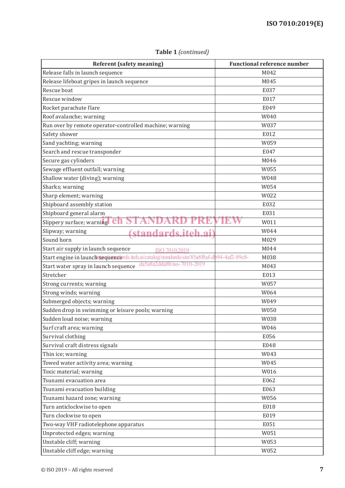| <b>Referent (safety meaning)</b>                                                           | <b>Functional reference number</b> |
|--------------------------------------------------------------------------------------------|------------------------------------|
| Release falls in launch sequence                                                           | M042                               |
| Release lifeboat gripes in launch sequence                                                 | M045                               |
| Rescue boat                                                                                | E037                               |
| Rescue window                                                                              | E017                               |
| Rocket parachute flare                                                                     | E049                               |
| Roof avalanche; warning                                                                    | W040                               |
| Run over by remote operator-controlled machine; warning                                    | W037                               |
| Safety shower                                                                              | E012                               |
| Sand yachting; warning                                                                     | W059                               |
| Search and rescue transponder                                                              | E047                               |
| Secure gas cylinders                                                                       | M046                               |
| Sewage effluent outfall; warning                                                           | W055                               |
| Shallow water (diving); warning                                                            | W048                               |
| Sharks; warning                                                                            | W054                               |
| Sharp element; warning                                                                     | W022                               |
| Shipboard assembly station                                                                 | E032                               |
| Shipboard general alarm                                                                    | E031                               |
| Slippery surface; warning <b>Ch</b>                                                        | W011                               |
| Slipway; warning<br>(standards.iteh.ai)                                                    | W044                               |
| Sound horn                                                                                 | M029                               |
| Start air supply in launch sequence<br>ISO 7010:2019                                       | M044                               |
| Start engine in launchtsequenderds.iteh.ai/catalog/standards/sist/85a8f8af-db94-4af2-89c8- | M038                               |
| da5a8a2dda8b/iso-7010-2019<br>Start water spray in launch sequence                         | M043                               |
| Stretcher                                                                                  | E013                               |
| Strong currents; warning                                                                   | W057                               |
| Strong winds; warning                                                                      | W064                               |
| Submerged objects; warning                                                                 | W049                               |
| Sudden drop in swimming or leisure pools; warning                                          | W050                               |
| Sudden loud noise; warning                                                                 | W038                               |
| Surf craft area; warning                                                                   | W046                               |
| Survival clothing                                                                          | E056                               |
| Survival craft distress signals                                                            | E048                               |
| Thin ice; warning                                                                          | W043                               |
| Towed water activity area; warning                                                         | W045                               |
| Toxic material; warning                                                                    | W016                               |
| Tsunami evacuation area                                                                    | E062                               |
| Tsunami evacuation building                                                                | E063                               |
| Tsunami hazard zone; warning                                                               | W056                               |
| Turn anticlockwise to open                                                                 | E018                               |
| Turn clockwise to open                                                                     | E019                               |
| Two-way VHF radiotelephone apparatus                                                       | E051                               |
| Unprotected edges; warning                                                                 | W051                               |
| Unstable cliff; warning                                                                    | W053                               |
| Unstable cliff edge; warning                                                               | W052                               |

**Table 1** *(continued)*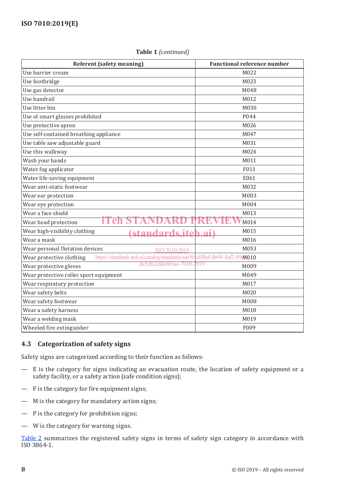| <b>Referent (safety meaning)</b>                                                                        | <b>Functional reference number</b> |
|---------------------------------------------------------------------------------------------------------|------------------------------------|
| Use barrier cream                                                                                       | M022                               |
| Use footbridge                                                                                          | M023                               |
| Use gas detector                                                                                        | M048                               |
| Use handrail                                                                                            | M012                               |
| Use litter bin                                                                                          | M030                               |
| Use of smart glasses prohibited                                                                         | P044                               |
| Use protective apron                                                                                    | M026                               |
| Use self-contained breathing appliance                                                                  | M047                               |
| Use table saw adjustable guard                                                                          | M031                               |
| Use this walkway                                                                                        | M024                               |
| Wash your hands                                                                                         | M011                               |
| Water fog applicator                                                                                    | F011                               |
| Water life-saving equipment                                                                             | E061                               |
| Wear anti-static footwear                                                                               | M032                               |
| Wear ear protection                                                                                     | M003                               |
| Wear eye protection                                                                                     | M004                               |
| Wear a face shield                                                                                      | M013                               |
| eh<br>TТ<br>Wear head protection                                                                        | M014                               |
| Wear high-visibility clothing<br>standards.iteh                                                         | M015<br>лi                         |
| Wear a mask                                                                                             | M016                               |
| Wear personal flotation devices<br>ISO 7010:2019                                                        | M053                               |
| https://standards.iteh.ai/catalog/standards/sist/85a8f8af-db94-4af2-8904010<br>Wear protective clothing |                                    |
| da5a8a2dda8b/iso-7010-2019<br>Wear protective gloves                                                    | M009                               |
| Wear protective roller sport equipment                                                                  | M049                               |
| Wear respiratory protection                                                                             | M017                               |
| Wear safety belts                                                                                       | M020                               |
| Wear safety footwear                                                                                    | M008                               |
| Wear a safety harness                                                                                   | M018                               |
| Wear a welding mask                                                                                     | M019                               |
| Wheeled fire extinguisher                                                                               | F009                               |

### **Table 1** *(continued)*

### **4.3 Categorization of safety signs**

Safety signs are categorized according to their function as follows:

- E is the category for signs indicating an evacuation route, the location of safety equipment or a safety facility, or a safety action (safe condition signs);
- F is the category for fire equipment signs;
- M is the category for mandatory action signs;
- P is the category for prohibition signs;
- W is the category for warning signs.

Table 2 summarizes the registered safety signs in terms of safety sign category in accordance with ISO 3864-1.